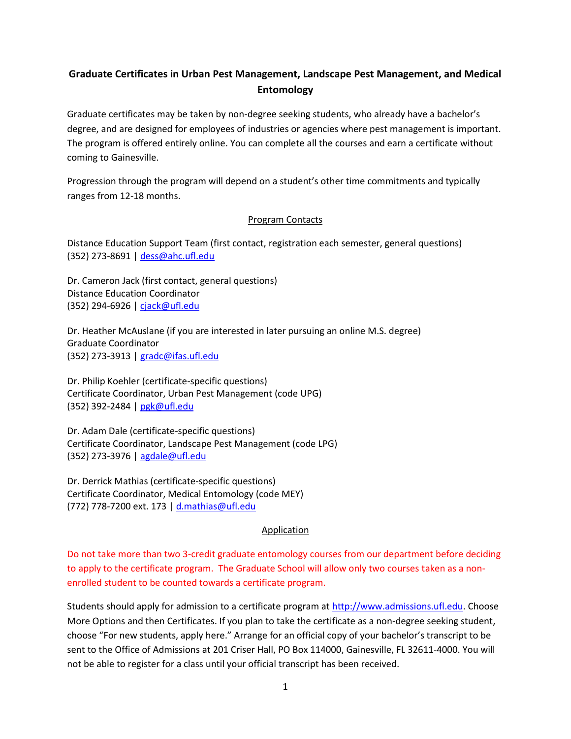# **Graduate Certificates in Urban Pest Management, Landscape Pest Management, and Medical Entomology**

Graduate certificates may be taken by non-degree seeking students, who already have a bachelor's degree, and are designed for employees of industries or agencies where pest management is important. The program is offered entirely online. You can complete all the courses and earn a certificate without coming to Gainesville.

Progression through the program will depend on a student's other time commitments and typically ranges from 12-18 months.

#### Program Contacts

Distance Education Support Team (first contact, registration each semester, general questions) (352) 273-8691 [| dess@ahc.ufl.edu](mailto:dess@ahc.ufl.edu)

Dr. Cameron Jack (first contact, general questions) Distance Education Coordinator (352) 294-6926 [| cjack@ufl.edu](mailto:cjack@ufl.edu)

Dr. Heather McAuslane (if you are interested in later pursuing an online M.S. degree) Graduate Coordinator (352) 273-3913 | [gradc@ifas.ufl.edu](mailto:gradc@ifas.ufl.edu)

Dr. Philip Koehler (certificate-specific questions) Certificate Coordinator, Urban Pest Management (code UPG) (352) 392-2484 | [pgk@ufl.edu](mailto:pgk@ufl.edu)

Dr. Adam Dale (certificate-specific questions) Certificate Coordinator, Landscape Pest Management (code LPG) (352) 273-3976 | [agdale@ufl.edu](mailto:agdale@ufl.edu)

Dr. Derrick Mathias (certificate-specific questions) Certificate Coordinator, Medical Entomology (code MEY) (772) 778-7200 ext. 173 [| d.mathias@ufl.edu](mailto:d.mathias@ufl.edu)

# Application

Do not take more than two 3-credit graduate entomology courses from our department before deciding to apply to the certificate program. The Graduate School will allow only two courses taken as a nonenrolled student to be counted towards a certificate program.

Students should apply for admission to a certificate program at [http://www.admissions.ufl.edu.](http://www.admissions.ufl.edu/) Choose More Options and then Certificates. If you plan to take the certificate as a non-degree seeking student, choose "For new students, apply here." Arrange for an official copy of your bachelor's transcript to be sent to the Office of Admissions at 201 Criser Hall, PO Box 114000, Gainesville, FL 32611-4000. You will not be able to register for a class until your official transcript has been received.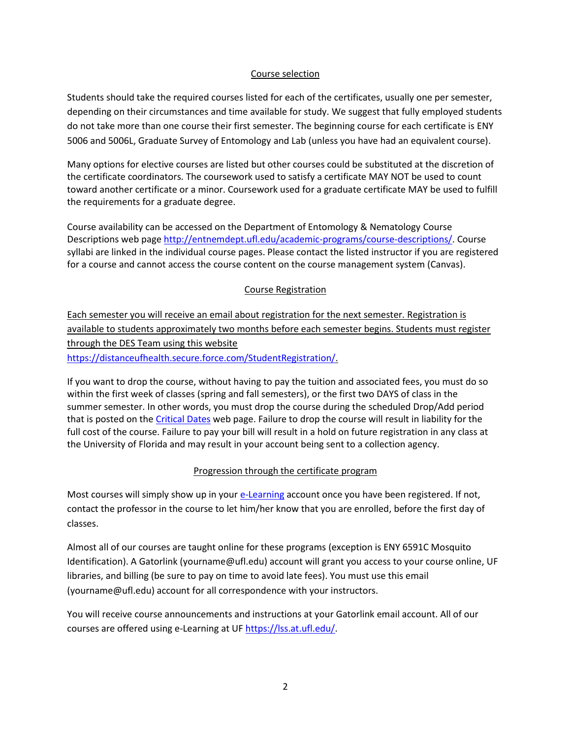#### Course selection

Students should take the required courses listed for each of the certificates, usually one per semester, depending on their circumstances and time available for study. We suggest that fully employed students do not take more than one course their first semester. The beginning course for each certificate is ENY 5006 and 5006L, Graduate Survey of Entomology and Lab (unless you have had an equivalent course).

Many options for elective courses are listed but other courses could be substituted at the discretion of the certificate coordinators. The coursework used to satisfy a certificate MAY NOT be used to count toward another certificate or a minor. Coursework used for a graduate certificate MAY be used to fulfill the requirements for a graduate degree.

Course availability can be accessed on the Department of Entomology & Nematology Course Descriptions web page [http://entnemdept.ufl.edu/academic-programs/course-descriptions/.](http://entnemdept.ufl.edu/academic-programs/course-descriptions/) Course syllabi are linked in the individual course pages. Please contact the listed instructor if you are registered for a course and cannot access the course content on the course management system (Canvas).

# Course Registration

Each semester you will receive an email about registration for the next semester. Registration is available to students approximately two months before each semester begins. Students must register through the DES Team using this website [https://distanceufhealth.secure.force.com/StudentRegistration/.](https://distanceufhealth.secure.force.com/StudentRegistration/)

If you want to drop the course, without having to pay the tuition and associated fees, you must do so within the first week of classes (spring and fall semesters), or the first two DAYS of class in the summer semester. In other words, you must drop the course during the scheduled Drop/Add period that is posted on the [Critical Dates](https://onlineentomology.ifas.ufl.edu/student-resources/critical-dates/) web page. Failure to drop the course will result in liability for the full cost of the course. Failure to pay your bill will result in a hold on future registration in any class at the University of Florida and may result in your account being sent to a collection agency.

# Progression through the certificate program

Most courses will simply show up in you[r e-Learning](https://lss.at.ufl.edu/) account once you have been registered. If not, contact the professor in the course to let him/her know that you are enrolled, before the first day of classes.

Almost all of our courses are taught online for these programs (exception is ENY 6591C Mosquito Identification). A Gatorlink (yourname@ufl.edu) account will grant you access to your course online, UF libraries, and billing (be sure to pay on time to avoid late fees). You must use this email (yourname@ufl.edu) account for all correspondence with your instructors.

You will receive course announcements and instructions at your Gatorlink email account. All of our courses are offered using e-Learning at UF [https://lss.at.ufl.edu/.](https://lss.at.ufl.edu/)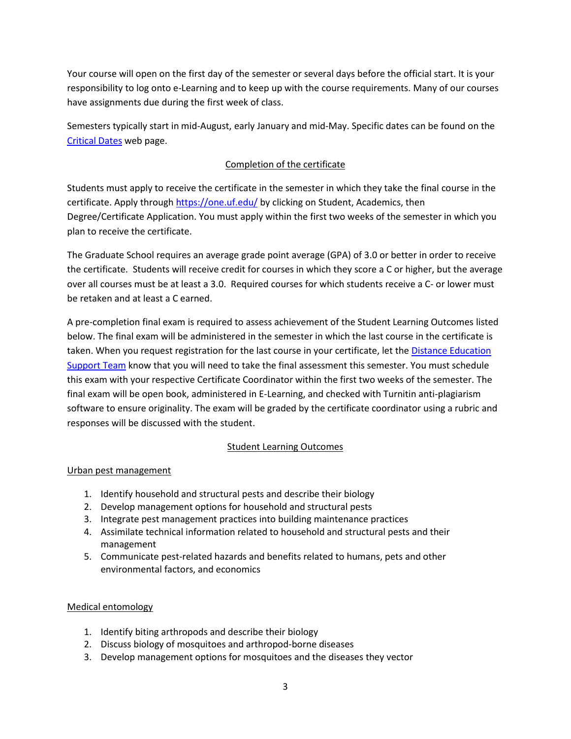Your course will open on the first day of the semester or several days before the official start. It is your responsibility to log onto e-Learning and to keep up with the course requirements. Many of our courses have assignments due during the first week of class.

Semesters typically start in mid-August, early January and mid-May. Specific dates can be found on the [Critical Dates](https://onlineentomology.ifas.ufl.edu/student-resources/critical-dates/) web page.

# Completion of the certificate

Students must apply to receive the certificate in the semester in which they take the final course in the certificate. Apply throug[h https://one.uf.edu/](https://one.uf.edu/) by clicking on Student, Academics, then Degree/Certificate Application. You must apply within the first two weeks of the semester in which you plan to receive the certificate.

The Graduate School requires an average grade point average (GPA) of 3.0 or better in order to receive the certificate. Students will receive credit for courses in which they score a C or higher, but the average over all courses must be at least a 3.0. Required courses for which students receive a C- or lower must be retaken and at least a C earned.

A pre-completion final exam is required to assess achievement of the Student Learning Outcomes listed below. The final exam will be administered in the semester in which the last course in the certificate is taken. When you request registration for the last course in your certificate, let the [Distance Education](mailto:dess@ahc.ufl.edu)  [Support Team](mailto:dess@ahc.ufl.edu) know that you will need to take the final assessment this semester. You must schedule this exam with your respective Certificate Coordinator within the first two weeks of the semester. The final exam will be open book, administered in E-Learning, and checked with Turnitin anti-plagiarism software to ensure originality. The exam will be graded by the certificate coordinator using a rubric and responses will be discussed with the student.

# Student Learning Outcomes

#### Urban pest management

- 1. Identify household and structural pests and describe their biology
- 2. Develop management options for household and structural pests
- 3. Integrate pest management practices into building maintenance practices
- 4. Assimilate technical information related to household and structural pests and their management
- 5. Communicate pest-related hazards and benefits related to humans, pets and other environmental factors, and economics

#### Medical entomology

- 1. Identify biting arthropods and describe their biology
- 2. Discuss biology of mosquitoes and arthropod-borne diseases
- 3. Develop management options for mosquitoes and the diseases they vector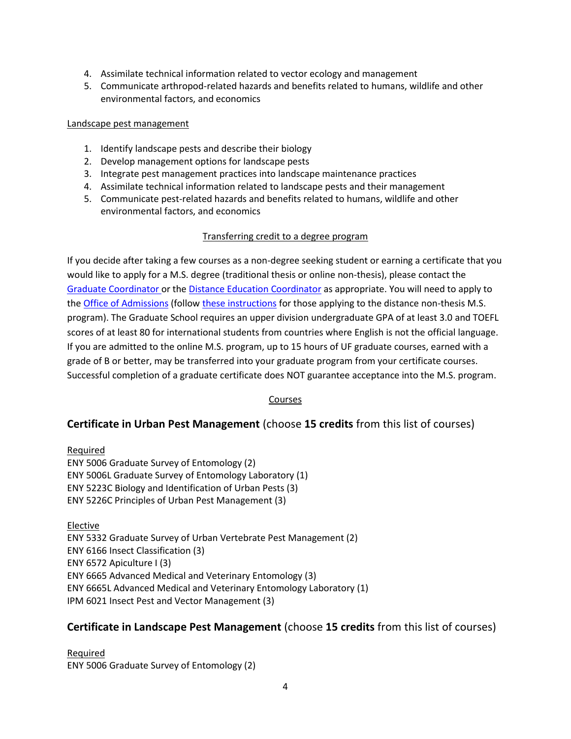- 4. Assimilate technical information related to vector ecology and management
- 5. Communicate arthropod-related hazards and benefits related to humans, wildlife and other environmental factors, and economics

#### Landscape pest management

- 1. Identify landscape pests and describe their biology
- 2. Develop management options for landscape pests
- 3. Integrate pest management practices into landscape maintenance practices
- 4. Assimilate technical information related to landscape pests and their management
- 5. Communicate pest-related hazards and benefits related to humans, wildlife and other environmental factors, and economics

#### Transferring credit to a degree program

If you decide after taking a few courses as a non-degree seeking student or earning a certificate that you would like to apply for a M.S. degree (traditional thesis or online non-thesis), please contact the [Graduate Coordinator](mailto:gradc@ifas.ufl.edu) or th[e Distance Education Coordinator](mailto:cjack@ufl.edu) as appropriate. You will need to apply to th[e Office of Admissions](https://admissions.ufl.edu/apply/graduate/) (follow [these instructions](https://onlineentomology.ifas.ufl.edu/apply/masters-degree/) for those applying to the distance non-thesis M.S. program). The Graduate School requires an upper division undergraduate GPA of at least 3.0 and TOEFL scores of at least 80 for international students from countries where English is not the official language. If you are admitted to the online M.S. program, up to 15 hours of UF graduate courses, earned with a grade of B or better, may be transferred into your graduate program from your certificate courses. Successful completion of a graduate certificate does NOT guarantee acceptance into the M.S. program.

#### Courses

# **Certificate in Urban Pest Management** (choose **15 credits** from this list of courses)

Required ENY 5006 Graduate Survey of Entomology (2) ENY 5006L Graduate Survey of Entomology Laboratory (1) ENY 5223C Biology and Identification of Urban Pests (3) ENY 5226C Principles of Urban Pest Management (3)

Elective

ENY 5332 Graduate Survey of Urban Vertebrate Pest Management (2) ENY 6166 Insect Classification (3) ENY 6572 Apiculture I (3) ENY 6665 Advanced Medical and Veterinary Entomology (3) ENY 6665L Advanced Medical and Veterinary Entomology Laboratory (1) IPM 6021 Insect Pest and Vector Management (3)

# **Certificate in Landscape Pest Management** (choose **15 credits** from this list of courses)

Required ENY 5006 Graduate Survey of Entomology (2)